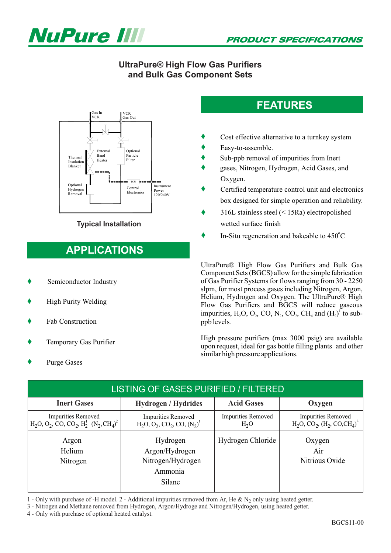



#### **UltraPure® High Flow Gas Purifiers and Bulk Gas Component Sets**



#### **Typical Installation**

## **APPLICATIONS**

- Semiconductor Industry  $\blacklozenge$
- High Purity Welding  $\blacklozenge$
- Fab Construction  $\blacklozenge$
- Temporary Gas Purifier  $\blacklozenge$
- Purge Gases  $\blacklozenge$

## **FEATURES**

- Cost effective alternative to a turnkey system  $\blacklozenge$
- Easy-to-assemble.  $\blacklozenge$
- Sub-ppb removal of impurities from Inert  $\blacklozenge$
- gases, Nitrogen, Hydrogen, Acid Gases, and Oxygen.  $\blacklozenge$
- Certified temperature control unit and electronics box designed for simple operation and reliability.  $\blacklozenge$
- 316L stainless steel (< 15Ra) electropolished wetted surface finish  $\blacklozenge$
- In-Situ regeneration and bakeable to  $450^{\circ}$ C  $\blacklozenge$

UltraPure® High Flow Gas Purifiers and Bulk Gas Component Sets (BGCS) allow for the simple fabrication of Gas Purifier Systems for flows ranging from 30 - 2250 slpm, for most process gases including Nitrogen, Argon, Helium, Hydrogen and Oxygen. The UltraPure® High Flow Gas Purifiers and BGCS will reduce gaseous impurities,  $H_2O$ ,  $O_2$ ,  $CO$ ,  $N_2$ ,  $CO_2$ ,  $CH_4$  and  $(H_2)$ <sup>1</sup> to subppb levels *.*

High pressure purifiers (max 3000 psig) are available upon request, ideal for gas bottle filling plants and other similar high pressure applications.

| <b>LISTING OF GASES PURIFIED / FILTERED</b>                                                                                                                 |                                                                                                                             |                                               |                                                                               |  |
|-------------------------------------------------------------------------------------------------------------------------------------------------------------|-----------------------------------------------------------------------------------------------------------------------------|-----------------------------------------------|-------------------------------------------------------------------------------|--|
| <b>Inert Gases</b>                                                                                                                                          | Hydrogen / Hydrides                                                                                                         | <b>Acid Gases</b>                             | Oxygen                                                                        |  |
| Impurities Removed<br>H <sub>2</sub> O, O <sub>2</sub> , CO, CO <sub>2</sub> , H <sub>2</sub> <sup>1</sup> (N <sub>2</sub> , CH <sub>4</sub> ) <sup>2</sup> | Impurities Removed<br>H <sub>2</sub> O, O <sub>2</sub> , CO <sub>2</sub> , CO <sub>2</sub> , (N <sub>2</sub> ) <sup>3</sup> | <b>Impurities Removed</b><br>H <sub>2</sub> O | Impurities Removed<br>H <sub>2</sub> O, CO <sub>2</sub> , $(H_2, CO, CH_4)^4$ |  |
| Argon<br>Helium<br>Nitrogen                                                                                                                                 | Hydrogen<br>Argon/Hydrogen<br>Nitrogen/Hydrogen<br>Ammonia<br>Silane                                                        | Hydrogen Chloride                             | Oxygen<br>Air<br>Nitrious Oxide                                               |  |

1 - Only with purchase of -H model. 2 - Additional impurities removed from Ar, He &  $N_2$  only using heated getter.

3 - Nitrogen and Methane removed from Hydrogen, Argon/Hydroge and Nitrogen/Hydrogen, using heated getter.

4 - Only with purchase of optional heated catalyst.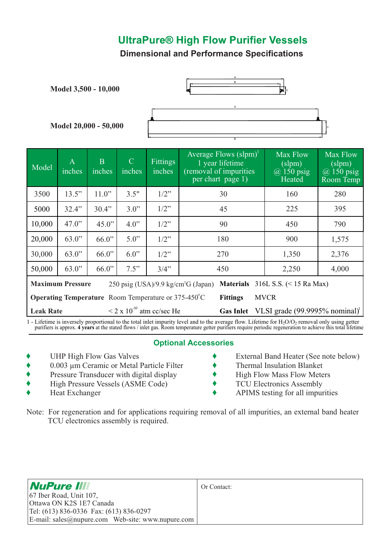# **UltraPure<sup>®</sup> High Flow Purifier Vessels**

**Dimensional and Performance Specifications**

B A C A **Model 3,500 - 10,000 Model 20,000 - 50,000**

| Model                                                                                                                                    | $\mathbf{A}$<br>inches | $\mathbf{B}$<br>inches | $\mathcal{C}$<br>inches | Fittings<br>inches                            | Average Flows $(slpm)^{1}$<br>1 year lifetime<br>(removal of impurities)<br>per chart page 1) | Max Flow<br>(slpm)<br>$(a)$ 150 psig<br>Heated | Max Flow<br>(slpm)<br>$(a)$ 150 psig<br>Room Temp |
|------------------------------------------------------------------------------------------------------------------------------------------|------------------------|------------------------|-------------------------|-----------------------------------------------|-----------------------------------------------------------------------------------------------|------------------------------------------------|---------------------------------------------------|
| 3500                                                                                                                                     | 13.5"                  | 11.0"                  | 3.5"                    | $1/2$ "                                       | 30                                                                                            | 160                                            | 280                                               |
| 5000                                                                                                                                     | 32.4"                  | 30.4"                  | 3.0"                    | $1/2$ "                                       | 45                                                                                            | 225                                            | 395                                               |
| 10,000                                                                                                                                   | 47.0"                  | 45.0"                  | 4.0"                    | $1/2$ "                                       | 90                                                                                            | 450                                            | 790                                               |
| 20,000                                                                                                                                   | 63.0"                  | 66.0"                  | 5.0"                    | $1/2$ "                                       | 180                                                                                           | 900                                            | 1,575                                             |
| 30,000                                                                                                                                   | 63.0"                  | 66.0"                  | 6.0"                    | $1/2$ "                                       | 270                                                                                           | 1,350                                          | 2,376                                             |
| 50,000                                                                                                                                   | 63.0"                  | 66.0"                  | 7.5"                    | 3/4"                                          | 450                                                                                           | 2,250                                          | 4,000                                             |
| <b>Maximum Pressure</b><br>316L S.S. $(< 15$ Ra Max)<br>$250 \text{ psig (USA)}/9.9 \text{ kg/cm}^3\text{G (Japan)}$<br><b>Materials</b> |                        |                        |                         |                                               |                                                                                               |                                                |                                                   |
| <b>Operating Temperature</b> Room Temperature or 375-450°C<br><b>MVCR</b><br><b>Fittings</b>                                             |                        |                        |                         |                                               |                                                                                               |                                                |                                                   |
| $\leq$ 2 x 10 <sup>-10</sup> atm cc/sec He<br><b>Leak Rate</b><br><b>Gas Inlet</b>                                                       |                        |                        |                         | VLSI grade $(99.9995\%$ nominal) <sup>1</sup> |                                                                                               |                                                |                                                   |

1 - Lifetime is inversely proportional to the total inlet impurity level and to the average flow. Lifetime for  $H_2O/O_2$  removal only using getter purifiers is approx. 4 years at the stated flows / inlet gas. Room temperature getter purifiers require periodic regeneration to achieve this total lifetime

#### **Optional Accessories**

 $\blacklozenge$ 

- UHP High Flow Gas Valves  $\blacklozenge$
- 0.003 µm Ceramic or Metal Particle Filter  $\blacklozenge$
- Pressure Transducer with digital display  $\ddot{\bullet}$
- High Pressure Vessels (ASME Code)  $\ddot{\bullet}$
- Heat Exchanger  $\blacklozenge$

External Band Heater (See note below)

C

- Thermal Insulation Blanket  $\ddot{\bullet}$
- High Flow Mass Flow Meters  $\ddot{\bullet}$
- TCU Electronics Assembly  $\ddot{\bullet}$
- APIMS testing for all impurities  $\ddot{\bullet}$

Note: For regeneration and for applications requiring removal of all impurities, an external band heater TCU electronics assembly is required. .

| <b>NuPure III</b>                                    | Or Contact: |
|------------------------------------------------------|-------------|
| $\vert$ 67 Iber Road, Unit 107,                      |             |
| Ottawa ON K2S 1E7 Canada                             |             |
| Tel: (613) 836-0336 Fax: (613) 836-0297              |             |
| $E$ -mail: sales@nupure.com Web-site: www.nupure.com |             |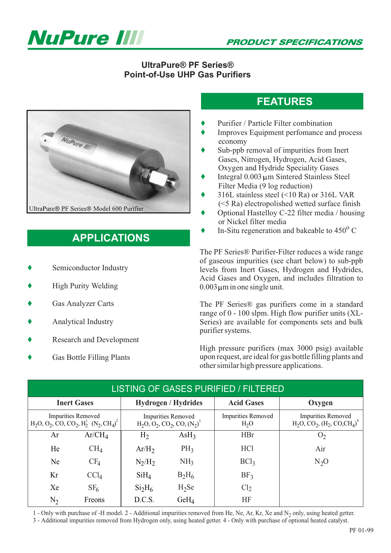

# NuPure IIII

#### **UltraPure® PF Series® Point-of-Use UHP Gas Purifiers**



# **APPLICATIONS**

- $\blacklozenge$ Semiconductor Industry
- $\blacklozenge$ High Purity Welding
- $\blacklozenge$ Gas Analyzer Carts
- $\blacklozenge$ Analytical Industry
- $\blacklozenge$ Research and Development
- $\blacklozenge$ Gas Bottle Filling Plants

## **FEATURES**

- $\blacklozenge$ Purifier / Particle Filter combination
- $\blacklozenge$ Improves Equipment perfomance and process economy
- $\blacklozenge$ Sub-ppb removal of impurities from Inert Gases, Nitrogen, Hydrogen, Acid Gases, Oxygen and Hydride Speciality Gases
- $\blacklozenge$ Integral  $0.003 \mu m$  Sintered Stainless Steel Filter Media (9 log reduction)
- $\blacklozenge$ 316L stainless steel (<10 Ra) or 316L VAR (<5 Ra) electropolished wetted surface finish
- $\blacklozenge$ Optional Hastelloy C-22 filter media / housing or Nickel filter media
- $\blacklozenge$ In-Situ regeneration and bakeable to  $450^{\circ}$  C

The PF Series® Purifier-Filter reduces a wide range of gaseous impurities (see chart below) to sub-ppb levels from Inert Gases, Hydrogen and Hydrides, Acid Gases and Oxygen, and includes filtration to  $0.003 \mu m$  in one single unit.

The PF Series® gas purifiers come in a standard range of 0 - 100 slpm. High flow purifier units (XL-Series) are available for components sets and bulk purifier systems.

High pressure purifiers (max 3000 psig) available upon request, are ideal for gas bottle filling plants and other similar high pressure applications.

| <b>LISTING OF GASES PURIFIED / FILTERED</b>                                           |                    |                                                                         |                            |                                               |                                                                    |  |
|---------------------------------------------------------------------------------------|--------------------|-------------------------------------------------------------------------|----------------------------|-----------------------------------------------|--------------------------------------------------------------------|--|
|                                                                                       | <b>Inert Gases</b> |                                                                         | <b>Hydrogen / Hydrides</b> | <b>Acid Gases</b>                             | Oxygen                                                             |  |
| <b>Impurities Removed</b><br>$H_2O$ , $O_2$ , $CO$ , $CO_2$ , $H_2^1$ $(N_2, CH_4)^2$ |                    | <b>Impurities Removed</b><br>$H_2O$ , $O_2$ , $CO_2$ , $CO$ , $(N_2)^3$ |                            | <b>Impurities Removed</b><br>H <sub>2</sub> O | <b>Impurities Removed</b><br>$H_2O$ , $CO_2$ , $(H_2, CO, CH_4)^4$ |  |
| Ar                                                                                    | Ar/CH <sub>4</sub> | $H_2$                                                                   | AsH <sub>3</sub>           | <b>HBr</b>                                    | O <sub>2</sub>                                                     |  |
| He                                                                                    | CH <sub>4</sub>    | Ar/H <sub>2</sub>                                                       | PH <sub>3</sub>            | HC <sub>1</sub>                               | Air                                                                |  |
| Ne.                                                                                   | $CF_4$             | $N_2/H_2$                                                               | NH <sub>3</sub>            | BCl <sub>3</sub>                              | $N_2O$                                                             |  |
| Kr                                                                                    | CCl <sub>4</sub>   | SiH <sub>4</sub>                                                        | $B_2H_6$                   | BF <sub>3</sub>                               |                                                                    |  |
| Xe                                                                                    | SF <sub>6</sub>    | Si <sub>2</sub> H <sub>6</sub>                                          | $H_2$ Se                   | Cl <sub>2</sub>                               |                                                                    |  |
| $N_2$                                                                                 | Freons             | D.C.S.                                                                  | $GeH_4$                    | <b>HF</b>                                     |                                                                    |  |

1 - Only with purchase of -H model. 2 - Additional impurities removed from He, Ne, Ar, Kr, Xe and  $N_2$  only, using heated getter.

3 - Additional impurities removed from Hydrogen only, using heated getter. 4 - Only with purchase of optional heated catalyst.